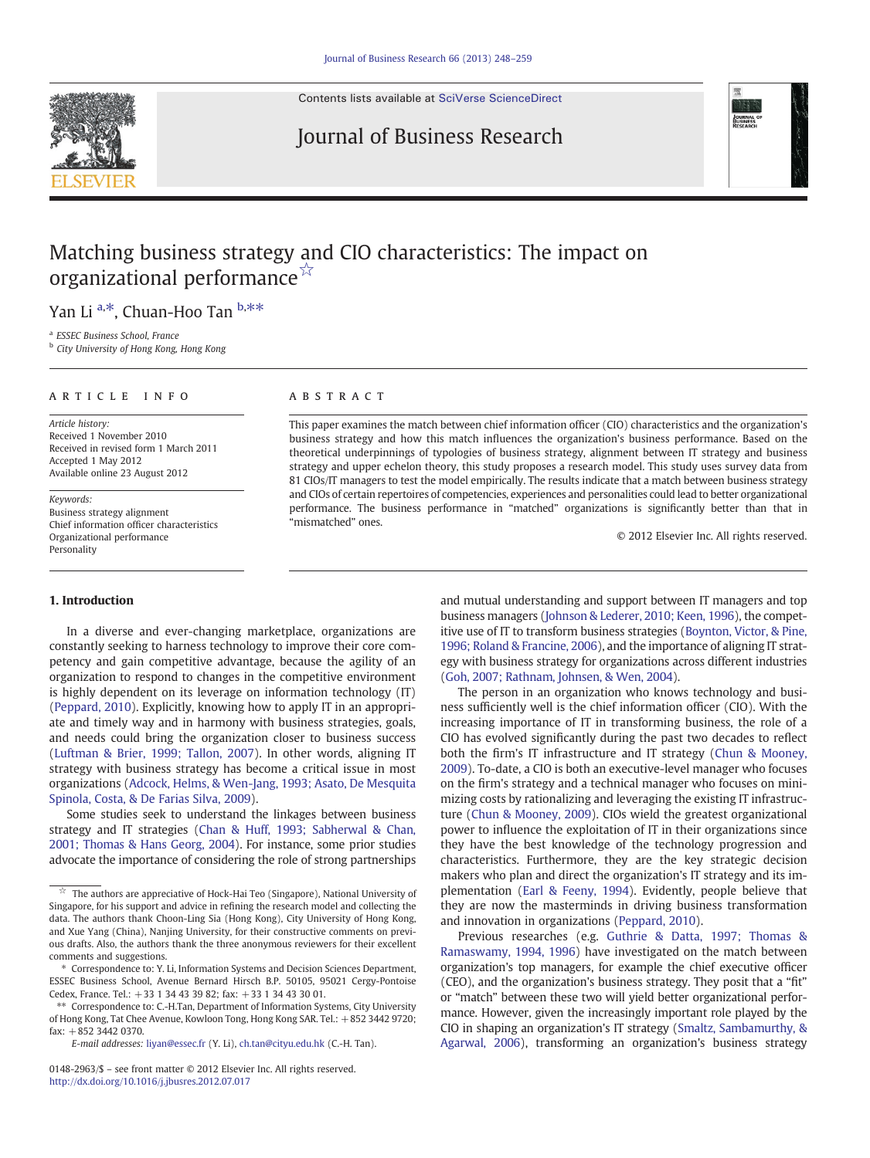Contents lists available at [SciVerse ScienceDirect](http://www.sciencedirect.com/science/journal/01482963)

# Journal of Business Research



# Matching business strategy and CIO characteristics: The impact on organizational performance☆

Yan Li <sup>a,\*</sup>, Chuan-Hoo Tan <sup>b,\*\*</sup>

<sup>a</sup> ESSEC Business School, France

<sup>b</sup> City University of Hong Kong, Hong Kong

## article info abstract

Article history: Received 1 November 2010 Received in revised form 1 March 2011 Accepted 1 May 2012 Available online 23 August 2012

Keywords: Business strategy alignment Chief information officer characteristics Organizational performance Personality

## 1. Introduction

In a diverse and ever-changing marketplace, organizations are constantly seeking to harness technology to improve their core competency and gain competitive advantage, because the agility of an organization to respond to changes in the competitive environment is highly dependent on its leverage on information technology (IT) [\(Peppard, 2010\)](#page--1-0). Explicitly, knowing how to apply IT in an appropriate and timely way and in harmony with business strategies, goals, and needs could bring the organization closer to business success [\(Luftman & Brier, 1999; Tallon, 2007\)](#page--1-0). In other words, aligning IT strategy with business strategy has become a critical issue in most organizations [\(Adcock, Helms, & Wen-Jang, 1993; Asato, De Mesquita](#page--1-0) [Spinola, Costa, & De Farias Silva, 2009\)](#page--1-0).

Some studies seek to understand the linkages between business strategy and IT strategies [\(Chan & Huff, 1993; Sabherwal & Chan,](#page--1-0) [2001; Thomas & Hans Georg, 2004\)](#page--1-0). For instance, some prior studies advocate the importance of considering the role of strong partnerships

This paper examines the match between chief information officer (CIO) characteristics and the organization's business strategy and how this match influences the organization's business performance. Based on the theoretical underpinnings of typologies of business strategy, alignment between IT strategy and business strategy and upper echelon theory, this study proposes a research model. This study uses survey data from 81 CIOs/IT managers to test the model empirically. The results indicate that a match between business strategy and CIOs of certain repertoires of competencies, experiences and personalities could lead to better organizational performance. The business performance in "matched" organizations is significantly better than that in "mismatched" ones.

© 2012 Elsevier Inc. All rights reserved.

and mutual understanding and support between IT managers and top business managers ([Johnson & Lederer, 2010; Keen, 1996\)](#page--1-0), the competitive use of IT to transform business strategies [\(Boynton, Victor, & Pine,](#page--1-0) [1996; Roland & Francine, 2006\)](#page--1-0), and the importance of aligning IT strategy with business strategy for organizations across different industries [\(Goh, 2007; Rathnam, Johnsen, & Wen, 2004\)](#page--1-0).

The person in an organization who knows technology and business sufficiently well is the chief information officer (CIO). With the increasing importance of IT in transforming business, the role of a CIO has evolved significantly during the past two decades to reflect both the firm's IT infrastructure and IT strategy ([Chun & Mooney,](#page--1-0) [2009\)](#page--1-0). To-date, a CIO is both an executive-level manager who focuses on the firm's strategy and a technical manager who focuses on minimizing costs by rationalizing and leveraging the existing IT infrastructure ([Chun & Mooney, 2009\)](#page--1-0). CIOs wield the greatest organizational power to influence the exploitation of IT in their organizations since they have the best knowledge of the technology progression and characteristics. Furthermore, they are the key strategic decision makers who plan and direct the organization's IT strategy and its implementation ([Earl & Feeny, 1994\)](#page--1-0). Evidently, people believe that they are now the masterminds in driving business transformation and innovation in organizations ([Peppard, 2010](#page--1-0)).

Previous researches (e.g. [Guthrie & Datta, 1997; Thomas &](#page--1-0) [Ramaswamy, 1994, 1996](#page--1-0)) have investigated on the match between organization's top managers, for example the chief executive officer (CEO), and the organization's business strategy. They posit that a "fit" or "match" between these two will yield better organizational performance. However, given the increasingly important role played by the CIO in shaping an organization's IT strategy [\(Smaltz, Sambamurthy, &](#page--1-0) [Agarwal, 2006](#page--1-0)), transforming an organization's business strategy



 $\overrightarrow{a}$  The authors are appreciative of Hock-Hai Teo (Singapore), National University of Singapore, for his support and advice in refining the research model and collecting the data. The authors thank Choon-Ling Sia (Hong Kong), City University of Hong Kong, and Xue Yang (China), Nanjing University, for their constructive comments on previous drafts. Also, the authors thank the three anonymous reviewers for their excellent comments and suggestions.

<sup>⁎</sup> Correspondence to: Y. Li, Information Systems and Decision Sciences Department, ESSEC Business School, Avenue Bernard Hirsch B.P. 50105, 95021 Cergy-Pontoise Cedex, France. Tel.: +33 1 34 43 39 82; fax: +33 1 34 43 30 01.

<sup>⁎⁎</sup> Correspondence to: C.-H.Tan, Department of Information Systems, City University of Hong Kong, Tat Chee Avenue, Kowloon Tong, Hong Kong SAR. Tel.: +852 3442 9720; fax: +852 3442 0370.

E-mail addresses: [liyan@essec.fr](mailto:liyan@essec.fr) (Y. Li), [ch.tan@cityu.edu.hk](mailto:ch.tan@cityu.edu.hk) (C.-H. Tan).

<sup>0148-2963/\$</sup> – see front matter © 2012 Elsevier Inc. All rights reserved. <http://dx.doi.org/10.1016/j.jbusres.2012.07.017>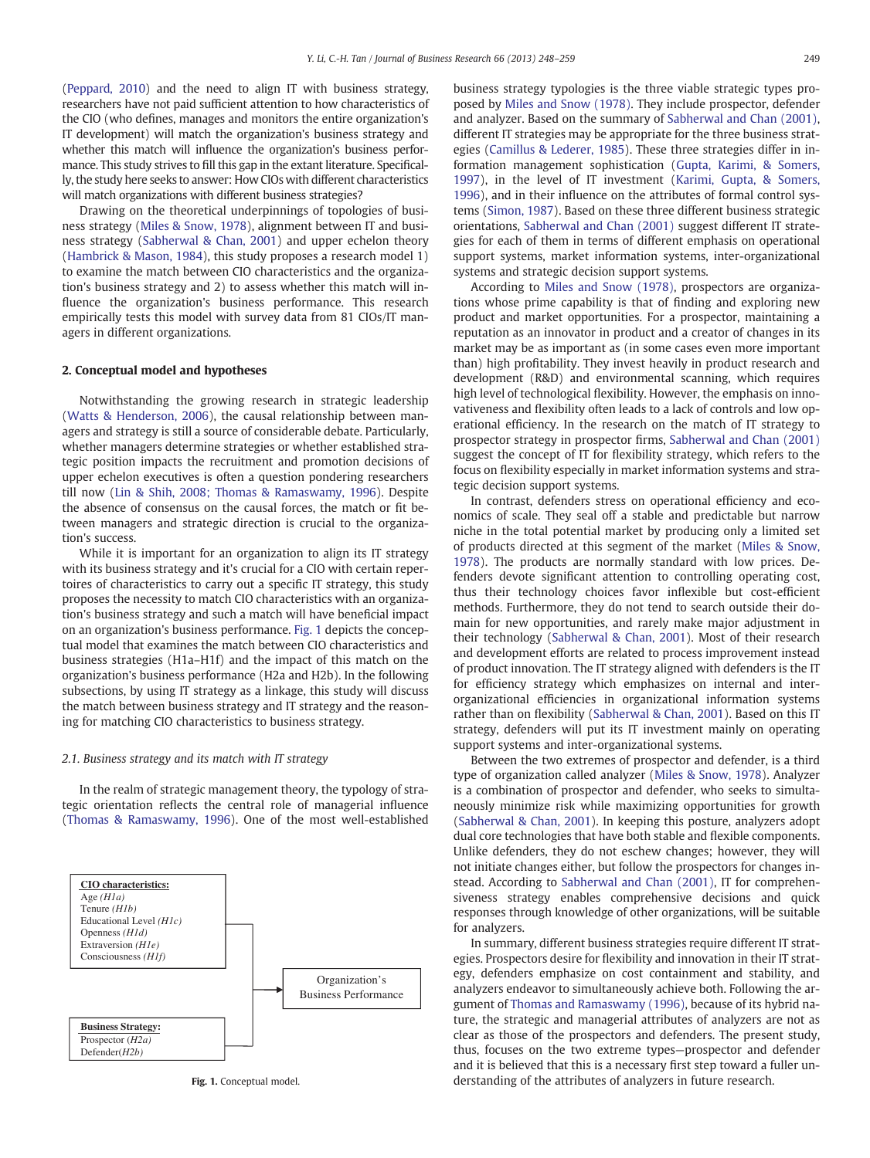[\(Peppard, 2010](#page--1-0)) and the need to align IT with business strategy, researchers have not paid sufficient attention to how characteristics of the CIO (who defines, manages and monitors the entire organization's IT development) will match the organization's business strategy and whether this match will influence the organization's business performance. This study strives to fill this gap in the extant literature. Specifically, the study here seeks to answer: How CIOs with different characteristics will match organizations with different business strategies?

Drawing on the theoretical underpinnings of topologies of business strategy [\(Miles & Snow, 1978\)](#page--1-0), alignment between IT and business strategy ([Sabherwal & Chan, 2001\)](#page--1-0) and upper echelon theory [\(Hambrick & Mason, 1984\)](#page--1-0), this study proposes a research model 1) to examine the match between CIO characteristics and the organization's business strategy and 2) to assess whether this match will influence the organization's business performance. This research empirically tests this model with survey data from 81 CIOs/IT managers in different organizations.

## 2. Conceptual model and hypotheses

Notwithstanding the growing research in strategic leadership [\(Watts & Henderson, 2006\)](#page--1-0), the causal relationship between managers and strategy is still a source of considerable debate. Particularly, whether managers determine strategies or whether established strategic position impacts the recruitment and promotion decisions of upper echelon executives is often a question pondering researchers till now ([Lin & Shih, 2008; Thomas & Ramaswamy, 1996\)](#page--1-0). Despite the absence of consensus on the causal forces, the match or fit between managers and strategic direction is crucial to the organization's success.

While it is important for an organization to align its IT strategy with its business strategy and it's crucial for a CIO with certain repertoires of characteristics to carry out a specific IT strategy, this study proposes the necessity to match CIO characteristics with an organization's business strategy and such a match will have beneficial impact on an organization's business performance. Fig. 1 depicts the conceptual model that examines the match between CIO characteristics and business strategies (H1a–H1f) and the impact of this match on the organization's business performance (H2a and H2b). In the following subsections, by using IT strategy as a linkage, this study will discuss the match between business strategy and IT strategy and the reasoning for matching CIO characteristics to business strategy.

### 2.1. Business strategy and its match with IT strategy

In the realm of strategic management theory, the typology of strategic orientation reflects the central role of managerial influence [\(Thomas & Ramaswamy, 1996\)](#page--1-0). One of the most well-established



Fig. 1. Conceptual model.

business strategy typologies is the three viable strategic types proposed by [Miles and Snow \(1978\).](#page--1-0) They include prospector, defender and analyzer. Based on the summary of [Sabherwal and Chan \(2001\),](#page--1-0) different IT strategies may be appropriate for the three business strategies [\(Camillus & Lederer, 1985\)](#page--1-0). These three strategies differ in information management sophistication [\(Gupta, Karimi, & Somers,](#page--1-0) [1997\)](#page--1-0), in the level of IT investment ([Karimi, Gupta, & Somers,](#page--1-0) [1996\)](#page--1-0), and in their influence on the attributes of formal control systems ([Simon, 1987](#page--1-0)). Based on these three different business strategic orientations, [Sabherwal and Chan \(2001\)](#page--1-0) suggest different IT strategies for each of them in terms of different emphasis on operational support systems, market information systems, inter-organizational systems and strategic decision support systems.

According to [Miles and Snow \(1978\)](#page--1-0), prospectors are organizations whose prime capability is that of finding and exploring new product and market opportunities. For a prospector, maintaining a reputation as an innovator in product and a creator of changes in its market may be as important as (in some cases even more important than) high profitability. They invest heavily in product research and development (R&D) and environmental scanning, which requires high level of technological flexibility. However, the emphasis on innovativeness and flexibility often leads to a lack of controls and low operational efficiency. In the research on the match of IT strategy to prospector strategy in prospector firms, [Sabherwal and Chan \(2001\)](#page--1-0) suggest the concept of IT for flexibility strategy, which refers to the focus on flexibility especially in market information systems and strategic decision support systems.

In contrast, defenders stress on operational efficiency and economics of scale. They seal off a stable and predictable but narrow niche in the total potential market by producing only a limited set of products directed at this segment of the market [\(Miles & Snow,](#page--1-0) [1978\)](#page--1-0). The products are normally standard with low prices. Defenders devote significant attention to controlling operating cost, thus their technology choices favor inflexible but cost-efficient methods. Furthermore, they do not tend to search outside their domain for new opportunities, and rarely make major adjustment in their technology [\(Sabherwal & Chan, 2001\)](#page--1-0). Most of their research and development efforts are related to process improvement instead of product innovation. The IT strategy aligned with defenders is the IT for efficiency strategy which emphasizes on internal and interorganizational efficiencies in organizational information systems rather than on flexibility [\(Sabherwal & Chan, 2001\)](#page--1-0). Based on this IT strategy, defenders will put its IT investment mainly on operating support systems and inter-organizational systems.

Between the two extremes of prospector and defender, is a third type of organization called analyzer [\(Miles & Snow, 1978\)](#page--1-0). Analyzer is a combination of prospector and defender, who seeks to simultaneously minimize risk while maximizing opportunities for growth [\(Sabherwal & Chan, 2001\)](#page--1-0). In keeping this posture, analyzers adopt dual core technologies that have both stable and flexible components. Unlike defenders, they do not eschew changes; however, they will not initiate changes either, but follow the prospectors for changes instead. According to [Sabherwal and Chan \(2001\)](#page--1-0), IT for comprehensiveness strategy enables comprehensive decisions and quick responses through knowledge of other organizations, will be suitable for analyzers.

In summary, different business strategies require different IT strategies. Prospectors desire for flexibility and innovation in their IT strategy, defenders emphasize on cost containment and stability, and analyzers endeavor to simultaneously achieve both. Following the argument of [Thomas and Ramaswamy \(1996\)](#page--1-0), because of its hybrid nature, the strategic and managerial attributes of analyzers are not as clear as those of the prospectors and defenders. The present study, thus, focuses on the two extreme types—prospector and defender and it is believed that this is a necessary first step toward a fuller understanding of the attributes of analyzers in future research.